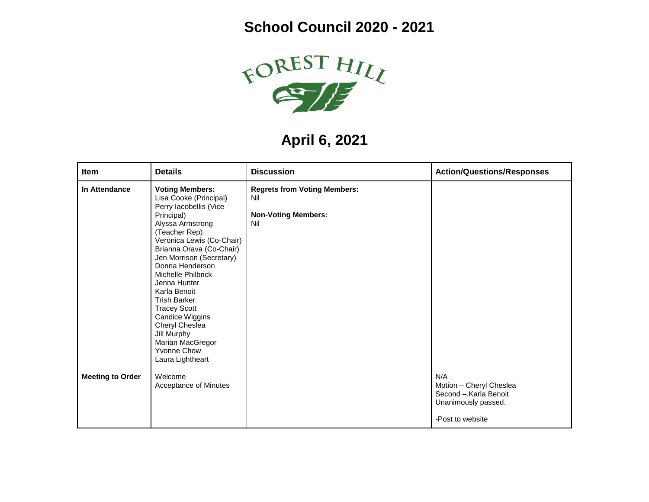## **School Council 2020 - 2021**



**April 6, 2021**

| Item                    | <b>Details</b>                                                                                                                                                                                                                                                                                                                                                                                                                                       | <b>Discussion</b>                                                               | <b>Action/Questions/Responses</b>                                                                  |
|-------------------------|------------------------------------------------------------------------------------------------------------------------------------------------------------------------------------------------------------------------------------------------------------------------------------------------------------------------------------------------------------------------------------------------------------------------------------------------------|---------------------------------------------------------------------------------|----------------------------------------------------------------------------------------------------|
| In Attendance           | <b>Voting Members:</b><br>Lisa Cooke (Principal)<br>Perry lacobellis (Vice<br>Principal)<br>Alyssa Armstrong<br>(Teacher Rep)<br>Veronica Lewis (Co-Chair)<br>Brianna Orava (Co-Chair)<br>Jen Morrison (Secretary)<br>Donna Henderson<br>Michelle Philbrick<br>Jenna Hunter<br>Karla Benoit<br><b>Trish Barker</b><br><b>Tracey Scott</b><br>Candice Wiggins<br>Cheryl Cheslea<br>Jill Murphy<br>Marian MacGregor<br>Yvonne Chow<br>Laura Lightheart | <b>Regrets from Voting Members:</b><br>Nil<br><b>Non-Voting Members:</b><br>Nil |                                                                                                    |
| <b>Meeting to Order</b> | Welcome<br>Acceptance of Minutes                                                                                                                                                                                                                                                                                                                                                                                                                     |                                                                                 | N/A<br>Motion - Cheryl Cheslea<br>Second - Karla Benoit<br>Unanimously passed.<br>-Post to website |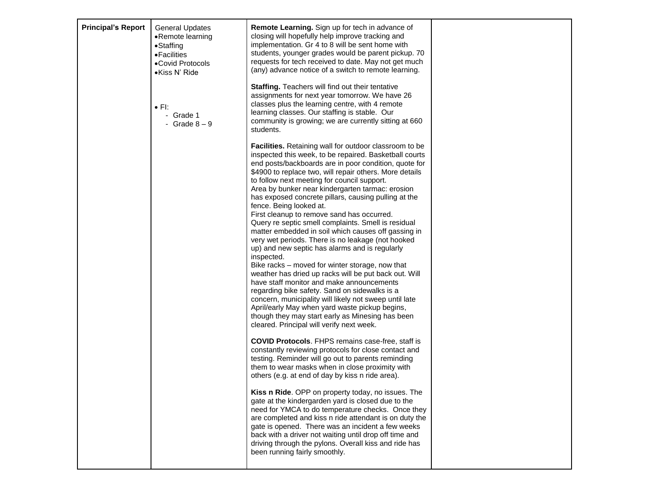| <b>Principal's Report</b> | <b>General Updates</b><br>•Remote learning<br>$\bullet$ Staffing<br>• Facilities<br>•Covid Protocols<br>·Kiss N' Ride | Remote Learning. Sign up for tech in advance of<br>closing will hopefully help improve tracking and<br>implementation. Gr 4 to 8 will be sent home with<br>students, younger grades would be parent pickup. 70<br>requests for tech received to date. May not get much<br>(any) advance notice of a switch to remote learning.<br>Staffing. Teachers will find out their tentative                                                                                                                                                                                                                                                                                                                                                                                                                                                                                                                                                                                                                                                                                                                                                        |  |
|---------------------------|-----------------------------------------------------------------------------------------------------------------------|-------------------------------------------------------------------------------------------------------------------------------------------------------------------------------------------------------------------------------------------------------------------------------------------------------------------------------------------------------------------------------------------------------------------------------------------------------------------------------------------------------------------------------------------------------------------------------------------------------------------------------------------------------------------------------------------------------------------------------------------------------------------------------------------------------------------------------------------------------------------------------------------------------------------------------------------------------------------------------------------------------------------------------------------------------------------------------------------------------------------------------------------|--|
|                           | $\bullet$ FI:<br>- Grade 1<br>- Grade $8-9$                                                                           | assignments for next year tomorrow. We have 26<br>classes plus the learning centre, with 4 remote<br>learning classes. Our staffing is stable. Our<br>community is growing; we are currently sitting at 660<br>students.                                                                                                                                                                                                                                                                                                                                                                                                                                                                                                                                                                                                                                                                                                                                                                                                                                                                                                                  |  |
|                           |                                                                                                                       | <b>Facilities.</b> Retaining wall for outdoor classroom to be<br>inspected this week, to be repaired. Basketball courts<br>end posts/backboards are in poor condition, quote for<br>\$4900 to replace two, will repair others. More details<br>to follow next meeting for council support.<br>Area by bunker near kindergarten tarmac: erosion<br>has exposed concrete pillars, causing pulling at the<br>fence. Being looked at.<br>First cleanup to remove sand has occurred.<br>Query re septic smell complaints. Smell is residual<br>matter embedded in soil which causes off gassing in<br>very wet periods. There is no leakage (not hooked<br>up) and new septic has alarms and is regularly<br>inspected.<br>Bike racks - moved for winter storage, now that<br>weather has dried up racks will be put back out. Will<br>have staff monitor and make announcements<br>regarding bike safety. Sand on sidewalks is a<br>concern, municipality will likely not sweep until late<br>April/early May when yard waste pickup begins,<br>though they may start early as Minesing has been<br>cleared. Principal will verify next week. |  |
|                           |                                                                                                                       | <b>COVID Protocols.</b> FHPS remains case-free, staff is<br>constantly reviewing protocols for close contact and<br>testing. Reminder will go out to parents reminding<br>them to wear masks when in close proximity with<br>others (e.g. at end of day by kiss n ride area).                                                                                                                                                                                                                                                                                                                                                                                                                                                                                                                                                                                                                                                                                                                                                                                                                                                             |  |
|                           |                                                                                                                       | Kiss n Ride. OPP on property today, no issues. The<br>gate at the kindergarden yard is closed due to the<br>need for YMCA to do temperature checks. Once they<br>are completed and kiss n ride attendant is on duty the<br>gate is opened. There was an incident a few weeks<br>back with a driver not waiting until drop off time and<br>driving through the pylons. Overall kiss and ride has<br>been running fairly smoothly.                                                                                                                                                                                                                                                                                                                                                                                                                                                                                                                                                                                                                                                                                                          |  |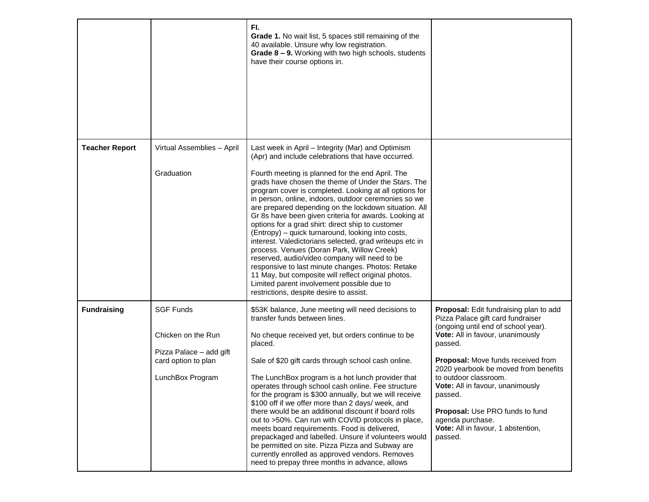|                       |                                                                                                              | FI.<br><b>Grade 1.</b> No wait list, 5 spaces still remaining of the<br>40 available. Unsure why low registration.<br>Grade 8 - 9. Working with two high schools, students<br>have their course options in.                                                                                                                                                                                                                                                                                                                                                                                                                                                                                                                                                                                                                                                                                                                     |                                                                                                                                                                                                                                                                                                                                                                                                                                        |
|-----------------------|--------------------------------------------------------------------------------------------------------------|---------------------------------------------------------------------------------------------------------------------------------------------------------------------------------------------------------------------------------------------------------------------------------------------------------------------------------------------------------------------------------------------------------------------------------------------------------------------------------------------------------------------------------------------------------------------------------------------------------------------------------------------------------------------------------------------------------------------------------------------------------------------------------------------------------------------------------------------------------------------------------------------------------------------------------|----------------------------------------------------------------------------------------------------------------------------------------------------------------------------------------------------------------------------------------------------------------------------------------------------------------------------------------------------------------------------------------------------------------------------------------|
| <b>Teacher Report</b> | Virtual Assemblies - April<br>Graduation                                                                     | Last week in April - Integrity (Mar) and Optimism<br>(Apr) and include celebrations that have occurred.<br>Fourth meeting is planned for the end April. The<br>grads have chosen the theme of Under the Stars. The<br>program cover is completed. Looking at all options for<br>in person, online, indoors, outdoor ceremonies so we<br>are prepared depending on the lockdown situation. All<br>Gr 8s have been given criteria for awards. Looking at<br>options for a grad shirt: direct ship to customer<br>(Entropy) – quick turnaround, looking into costs,<br>interest. Valedictorians selected, grad writeups etc in<br>process. Venues (Doran Park, Willow Creek)<br>reserved, audio/video company will need to be<br>responsive to last minute changes. Photos: Retake<br>11 May, but composite will reflect original photos.<br>Limited parent involvement possible due to<br>restrictions, despite desire to assist. |                                                                                                                                                                                                                                                                                                                                                                                                                                        |
| <b>Fundraising</b>    | <b>SGF Funds</b><br>Chicken on the Run<br>Pizza Palace - add gift<br>card option to plan<br>LunchBox Program | \$53K balance, June meeting will need decisions to<br>transfer funds between lines.<br>No cheque received yet, but orders continue to be<br>placed.<br>Sale of \$20 gift cards through school cash online.<br>The LunchBox program is a hot lunch provider that<br>operates through school cash online. Fee structure<br>for the program is \$300 annually, but we will receive<br>\$100 off if we offer more than 2 days/ week, and<br>there would be an additional discount if board rolls<br>out to >50%. Can run with COVID protocols in place,<br>meets board requirements. Food is delivered,<br>prepackaged and labelled. Unsure if volunteers would<br>be permitted on site. Pizza Pizza and Subway are<br>currently enrolled as approved vendors. Removes<br>need to prepay three months in advance, allows                                                                                                            | <b>Proposal:</b> Edit fundraising plan to add<br>Pizza Palace gift card fundraiser<br>(ongoing until end of school year).<br>Vote: All in favour, unanimously<br>passed.<br>Proposal: Move funds received from<br>2020 yearbook be moved from benefits<br>to outdoor classroom.<br>Vote: All in favour, unanimously<br>passed.<br>Proposal: Use PRO funds to fund<br>agenda purchase.<br>Vote: All in favour, 1 abstention,<br>passed. |